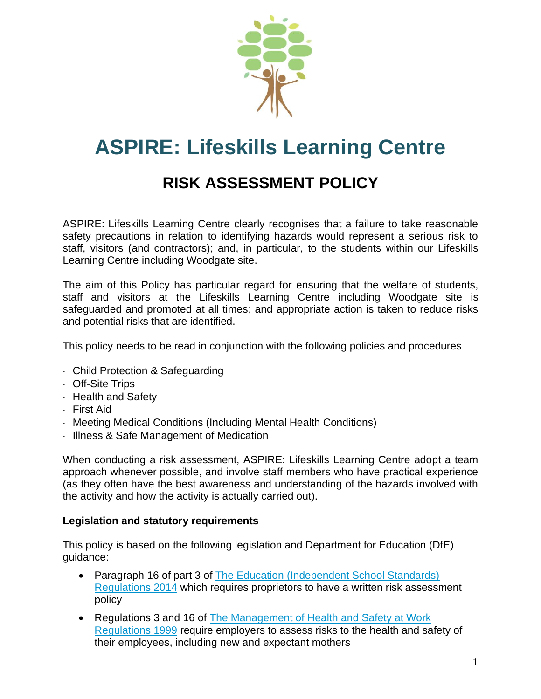

# **ASPIRE: Lifeskills Learning Centre**

## **RISK ASSESSMENT POLICY**

ASPIRE: Lifeskills Learning Centre clearly recognises that a failure to take reasonable safety precautions in relation to identifying hazards would represent a serious risk to staff, visitors (and contractors); and, in particular, to the students within our Lifeskills Learning Centre including Woodgate site.

The aim of this Policy has particular regard for ensuring that the welfare of students, staff and visitors at the Lifeskills Learning Centre including Woodgate site is safeguarded and promoted at all times; and appropriate action is taken to reduce risks and potential risks that are identified.

This policy needs to be read in conjunction with the following policies and procedures

- Child Protection & Safeguarding
- Off-Site Trips
- **Health and Safety**
- First Aid
- Meeting Medical Conditions (Including Mental Health Conditions)
- Illness & Safe Management of Medication

When conducting a risk assessment, ASPIRE: Lifeskills Learning Centre adopt a team approach whenever possible, and involve staff members who have practical experience (as they often have the best awareness and understanding of the hazards involved with the activity and how the activity is actually carried out).

#### **Legislation and statutory requirements**

This policy is based on the following legislation and Department for Education (DfE) guidance:

- Paragraph 16 of part 3 of The Education (Independent School Standards) [Regulations 2014](http://www.legislation.gov.uk/uksi/2014/3283/schedule/part/3/made) which requires proprietors to have a written risk assessment policy
- Regulations 3 and 16 of The Management of Health and Safety at Work [Regulations 1999](http://www.legislation.gov.uk/uksi/1999/3242/contents/made) require employers to assess risks to the health and safety of their employees, including new and expectant mothers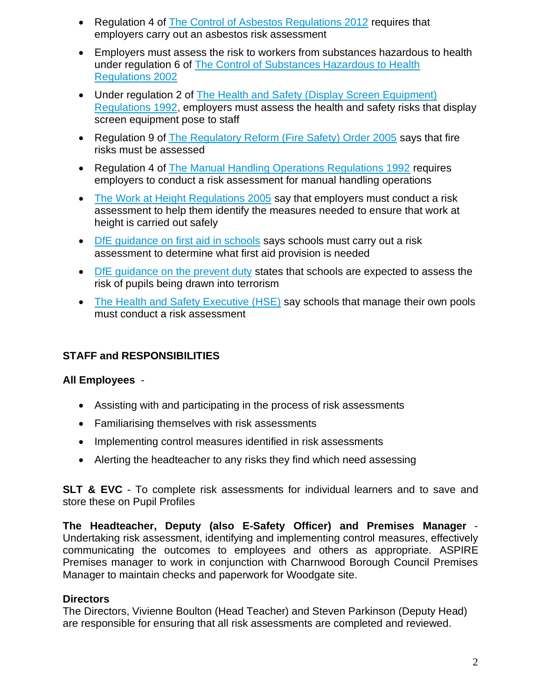- Regulation 4 of [The Control of Asbestos Regulations 2012](http://www.legislation.gov.uk/uksi/2012/632/regulation/4/made) requires that employers carry out an asbestos risk assessment
- Employers must assess the risk to workers from substances hazardous to health under regulation 6 of [The Control of Substances Hazardous to Health](http://www.legislation.gov.uk/uksi/2002/2677/regulation/6/made)  [Regulations 2002](http://www.legislation.gov.uk/uksi/2002/2677/regulation/6/made)
- Under regulation 2 of The Health and Safety (Display Screen Equipment) [Regulations 1992,](http://www.legislation.gov.uk/uksi/1992/2792/regulation/2/made) employers must assess the health and safety risks that display screen equipment pose to staff
- Regulation 9 of [The Regulatory Reform \(Fire Safety\) Order 2005](http://www.legislation.gov.uk/uksi/2005/1541/article/9/made) says that fire risks must be assessed
- Regulation 4 of [The Manual Handling Operations Regulations 1992](http://www.legislation.gov.uk/uksi/1992/2793/regulation/4/made) requires employers to conduct a risk assessment for manual handling operations
- [The Work at Height Regulations 2005](http://www.legislation.gov.uk/uksi/2005/735/regulation/6/made) say that employers must conduct a risk assessment to help them identify the measures needed to ensure that work at height is carried out safely
- [DfE guidance on first aid in schools](https://www.gov.uk/government/uploads/system/uploads/attachment_data/file/306370/guidance_on_first_aid_for_schools.pdf) says schools must carry out a risk assessment to determine what first aid provision is needed
- [DfE guidance on the prevent duty](https://www.gov.uk/government/uploads/system/uploads/attachment_data/file/445977/3799_Revised_Prevent_Duty_Guidance__England_Wales_V2-Interactive.pdf) states that schools are expected to assess the risk of pupils being drawn into terrorism
- [The Health and Safety Executive \(HSE\)](http://www.hse.gov.uk/entertainment/leisure/swimming-pool.htm) say schools that manage their own pools must conduct a risk assessment

## **STAFF and RESPONSIBILITIES**

## **All Employees** -

- Assisting with and participating in the process of risk assessments
- Familiarising themselves with risk assessments
- Implementing control measures identified in risk assessments
- Alerting the headteacher to any risks they find which need assessing

**SLT & EVC** - To complete risk assessments for individual learners and to save and store these on Pupil Profiles

**The Headteacher, Deputy (also E-Safety Officer) and Premises Manager** - Undertaking risk assessment, identifying and implementing control measures, effectively communicating the outcomes to employees and others as appropriate. ASPIRE Premises manager to work in conjunction with Charnwood Borough Council Premises Manager to maintain checks and paperwork for Woodgate site.

#### **Directors**

The Directors, Vivienne Boulton (Head Teacher) and Steven Parkinson (Deputy Head) are responsible for ensuring that all risk assessments are completed and reviewed.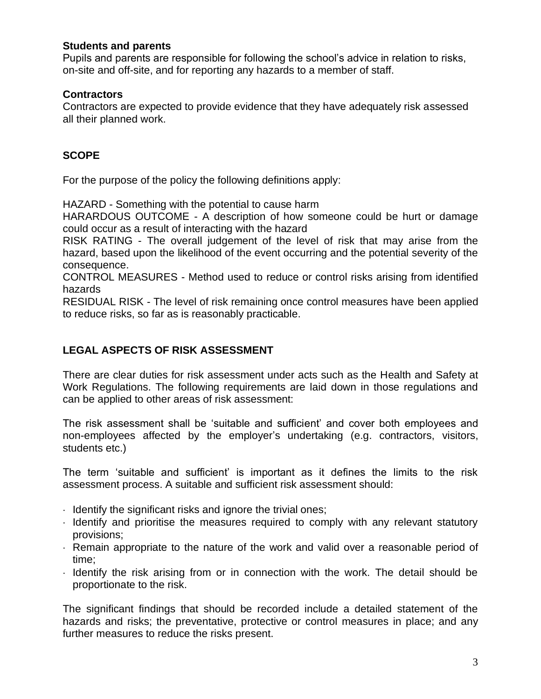#### **Students and parents**

Pupils and parents are responsible for following the school's advice in relation to risks, on-site and off-site, and for reporting any hazards to a member of staff.

#### **Contractors**

Contractors are expected to provide evidence that they have adequately risk assessed all their planned work.

## **SCOPE**

For the purpose of the policy the following definitions apply:

HAZARD - Something with the potential to cause harm

HARARDOUS OUTCOME - A description of how someone could be hurt or damage could occur as a result of interacting with the hazard

RISK RATING - The overall judgement of the level of risk that may arise from the hazard, based upon the likelihood of the event occurring and the potential severity of the consequence.

CONTROL MEASURES - Method used to reduce or control risks arising from identified hazards

RESIDUAL RISK - The level of risk remaining once control measures have been applied to reduce risks, so far as is reasonably practicable.

## **LEGAL ASPECTS OF RISK ASSESSMENT**

There are clear duties for risk assessment under acts such as the Health and Safety at Work Regulations. The following requirements are laid down in those regulations and can be applied to other areas of risk assessment:

The risk assessment shall be 'suitable and sufficient' and cover both employees and non-employees affected by the employer's undertaking (e.g. contractors, visitors, students etc.)

The term 'suitable and sufficient' is important as it defines the limits to the risk assessment process. A suitable and sufficient risk assessment should:

- Identify the significant risks and ignore the trivial ones;
- $\cdot$  Identify and prioritise the measures required to comply with any relevant statutory provisions;
- Remain appropriate to the nature of the work and valid over a reasonable period of time;
- $\cdot$  Identify the risk arising from or in connection with the work. The detail should be proportionate to the risk.

The significant findings that should be recorded include a detailed statement of the hazards and risks; the preventative, protective or control measures in place; and any further measures to reduce the risks present.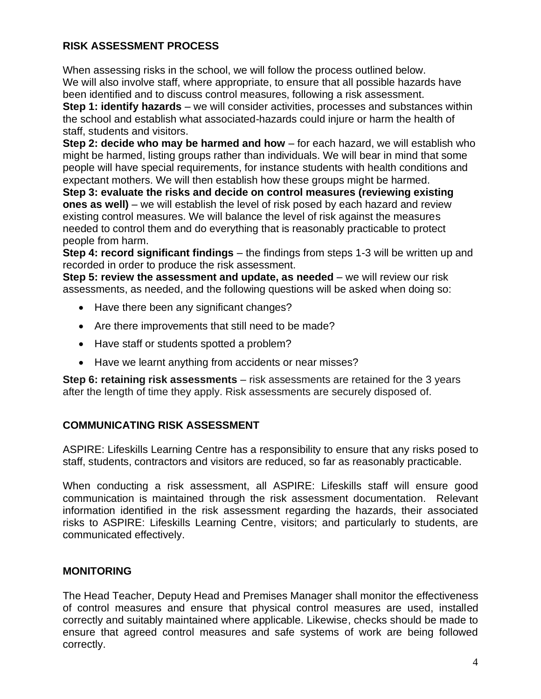### **RISK ASSESSMENT PROCESS**

When assessing risks in the school, we will follow the process outlined below. We will also involve staff, where appropriate, to ensure that all possible hazards have been identified and to discuss control measures, following a risk assessment.

**Step 1: identify hazards** – we will consider activities, processes and substances within the school and establish what associated-hazards could injure or harm the health of staff, students and visitors.

**Step 2: decide who may be harmed and how** – for each hazard, we will establish who might be harmed, listing groups rather than individuals. We will bear in mind that some people will have special requirements, for instance students with health conditions and expectant mothers. We will then establish how these groups might be harmed.

**Step 3: evaluate the risks and decide on control measures (reviewing existing ones as well)** – we will establish the level of risk posed by each hazard and review existing control measures. We will balance the level of risk against the measures needed to control them and do everything that is reasonably practicable to protect people from harm.

**Step 4: record significant findings** – the findings from steps 1-3 will be written up and recorded in order to produce the risk assessment.

**Step 5: review the assessment and update, as needed** – we will review our risk assessments, as needed, and the following questions will be asked when doing so:

- Have there been any significant changes?
- Are there improvements that still need to be made?
- Have staff or students spotted a problem?
- Have we learnt anything from accidents or near misses?

**Step 6: retaining risk assessments** – risk assessments are retained for the 3 years after the length of time they apply. Risk assessments are securely disposed of.

#### **COMMUNICATING RISK ASSESSMENT**

ASPIRE: Lifeskills Learning Centre has a responsibility to ensure that any risks posed to staff, students, contractors and visitors are reduced, so far as reasonably practicable.

When conducting a risk assessment, all ASPIRE: Lifeskills staff will ensure good communication is maintained through the risk assessment documentation. Relevant information identified in the risk assessment regarding the hazards, their associated risks to ASPIRE: Lifeskills Learning Centre, visitors; and particularly to students, are communicated effectively.

## **MONITORING**

The Head Teacher, Deputy Head and Premises Manager shall monitor the effectiveness of control measures and ensure that physical control measures are used, installed correctly and suitably maintained where applicable. Likewise, checks should be made to ensure that agreed control measures and safe systems of work are being followed correctly.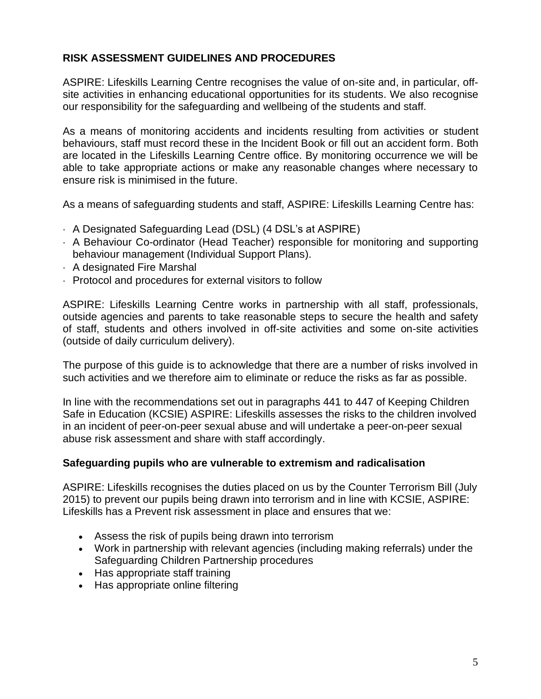#### **RISK ASSESSMENT GUIDELINES AND PROCEDURES**

ASPIRE: Lifeskills Learning Centre recognises the value of on-site and, in particular, offsite activities in enhancing educational opportunities for its students. We also recognise our responsibility for the safeguarding and wellbeing of the students and staff.

As a means of monitoring accidents and incidents resulting from activities or student behaviours, staff must record these in the Incident Book or fill out an accident form. Both are located in the Lifeskills Learning Centre office. By monitoring occurrence we will be able to take appropriate actions or make any reasonable changes where necessary to ensure risk is minimised in the future.

As a means of safeguarding students and staff, ASPIRE: Lifeskills Learning Centre has:

- A Designated Safeguarding Lead (DSL) (4 DSL's at ASPIRE)
- A Behaviour Co-ordinator (Head Teacher) responsible for monitoring and supporting behaviour management (Individual Support Plans).
- A designated Fire Marshal
- Protocol and procedures for external visitors to follow

ASPIRE: Lifeskills Learning Centre works in partnership with all staff, professionals, outside agencies and parents to take reasonable steps to secure the health and safety of staff, students and others involved in off-site activities and some on-site activities (outside of daily curriculum delivery).

The purpose of this guide is to acknowledge that there are a number of risks involved in such activities and we therefore aim to eliminate or reduce the risks as far as possible.

In line with the recommendations set out in paragraphs 441 to 447 of Keeping Children Safe in Education (KCSIE) ASPIRE: Lifeskills assesses the risks to the children involved in an incident of peer-on-peer sexual abuse and will undertake a peer-on-peer sexual abuse risk assessment and share with staff accordingly.

#### **Safeguarding pupils who are vulnerable to extremism and radicalisation**

ASPIRE: Lifeskills recognises the duties placed on us by the Counter Terrorism Bill (July 2015) to prevent our pupils being drawn into terrorism and in line with KCSIE, ASPIRE: Lifeskills has a Prevent risk assessment in place and ensures that we:

- Assess the risk of pupils being drawn into terrorism
- Work in partnership with relevant agencies (including making referrals) under the Safeguarding Children Partnership procedures
- Has appropriate staff training
- Has appropriate online filtering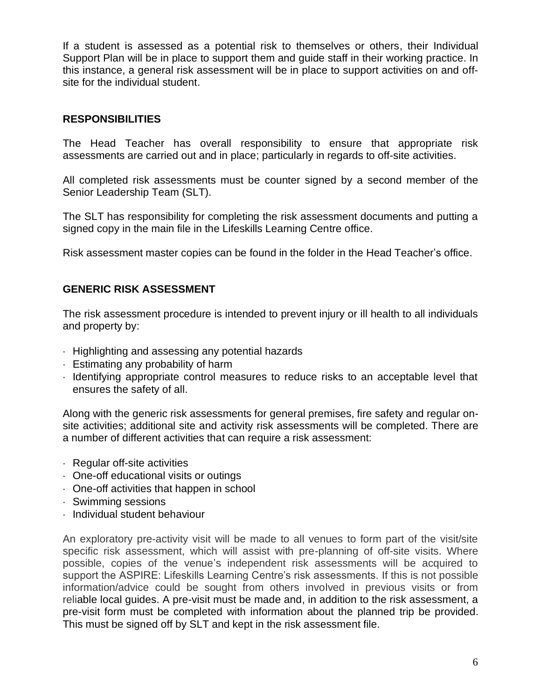If a student is assessed as a potential risk to themselves or others, their Individual Support Plan will be in place to support them and guide staff in their working practice. In this instance, a general risk assessment will be in place to support activities on and offsite for the individual student.

#### **RESPONSIBILITIES**

The Head Teacher has overall responsibility to ensure that appropriate risk assessments are carried out and in place; particularly in regards to off-site activities.

All completed risk assessments must be counter signed by a second member of the Senior Leadership Team (SLT).

The SLT has responsibility for completing the risk assessment documents and putting a signed copy in the main file in the Lifeskills Learning Centre office.

Risk assessment master copies can be found in the folder in the Head Teacher's office.

### **GENERIC RISK ASSESSMENT**

The risk assessment procedure is intended to prevent injury or ill health to all individuals and property by:

- $\cdot$  Highlighting and assessing any potential hazards
- Estimating any probability of harm
- Identifying appropriate control measures to reduce risks to an acceptable level that ensures the safety of all.

Along with the generic risk assessments for general premises, fire safety and regular onsite activities; additional site and activity risk assessments will be completed. There are a number of different activities that can require a risk assessment:

- $\cdot$  Regular off-site activities
- One-off educational visits or outings
- One-off activities that happen in school
- Swimming sessions
- $\cdot$  Individual student behaviour

An exploratory pre-activity visit will be made to all venues to form part of the visit/site specific risk assessment, which will assist with pre-planning of off-site visits. Where possible, copies of the venue's independent risk assessments will be acquired to support the ASPIRE: Lifeskills Learning Centre's risk assessments. If this is not possible information/advice could be sought from others involved in previous visits or from reliable local guides. A pre-visit must be made and, in addition to the risk assessment, a pre-visit form must be completed with information about the planned trip be provided. This must be signed off by SLT and kept in the risk assessment file.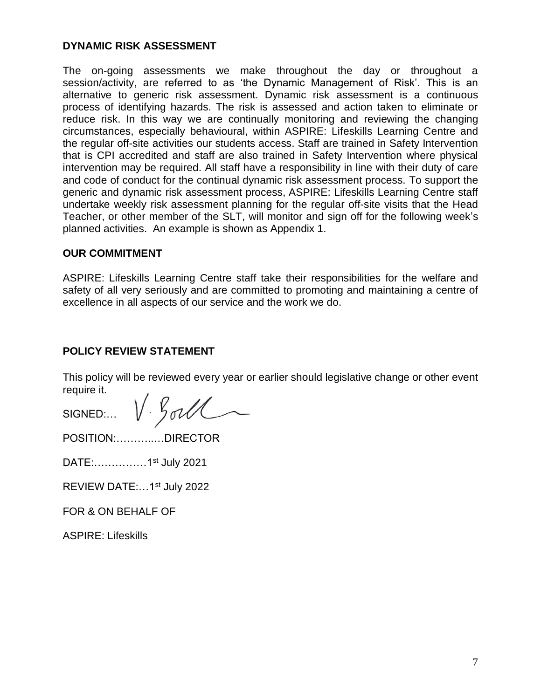#### **DYNAMIC RISK ASSESSMENT**

The on-going assessments we make throughout the day or throughout a session/activity, are referred to as 'the Dynamic Management of Risk'. This is an alternative to generic risk assessment. Dynamic risk assessment is a continuous process of identifying hazards. The risk is assessed and action taken to eliminate or reduce risk. In this way we are continually monitoring and reviewing the changing circumstances, especially behavioural, within ASPIRE: Lifeskills Learning Centre and the regular off-site activities our students access. Staff are trained in Safety Intervention that is CPI accredited and staff are also trained in Safety Intervention where physical intervention may be required. All staff have a responsibility in line with their duty of care and code of conduct for the continual dynamic risk assessment process. To support the generic and dynamic risk assessment process, ASPIRE: Lifeskills Learning Centre staff undertake weekly risk assessment planning for the regular off-site visits that the Head Teacher, or other member of the SLT, will monitor and sign off for the following week's planned activities. An example is shown as Appendix 1.

#### **OUR COMMITMENT**

ASPIRE: Lifeskills Learning Centre staff take their responsibilities for the welfare and safety of all very seriously and are committed to promoting and maintaining a centre of excellence in all aspects of our service and the work we do.

#### **POLICY REVIEW STATEMENT**

This policy will be reviewed every year or earlier should legislative change or other event require it.

V. Gorl SIGNED:…

POSITION:………..…DIRECTOR

DATE:……………1st July 2021

REVIEW DATE:…1st July 2022

FOR & ON BEHALF OF

ASPIRE: Lifeskills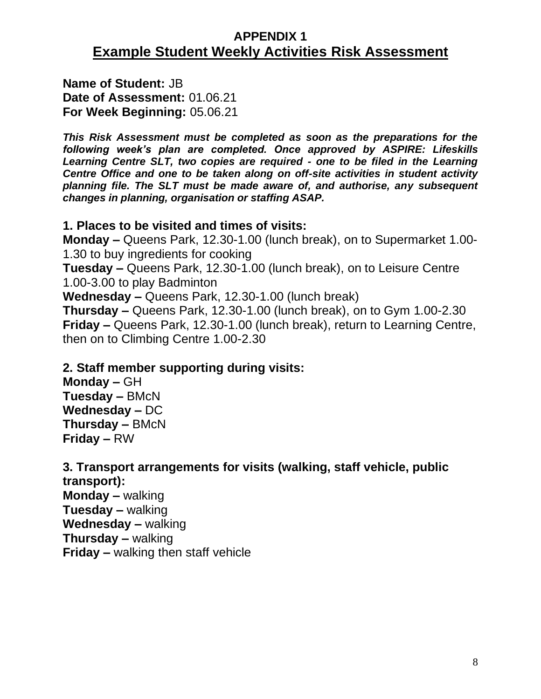## **APPENDIX 1 Example Student Weekly Activities Risk Assessment**

**Name of Student:** JB **Date of Assessment:** 01.06.21 **For Week Beginning:** 05.06.21

*This Risk Assessment must be completed as soon as the preparations for the following week's plan are completed. Once approved by ASPIRE: Lifeskills Learning Centre SLT, two copies are required - one to be filed in the Learning Centre Office and one to be taken along on off-site activities in student activity planning file. The SLT must be made aware of, and authorise, any subsequent changes in planning, organisation or staffing ASAP.*

## **1. Places to be visited and times of visits:**

**Monday –** Queens Park, 12.30-1.00 (lunch break), on to Supermarket 1.00- 1.30 to buy ingredients for cooking **Tuesday –** Queens Park, 12.30-1.00 (lunch break), on to Leisure Centre 1.00-3.00 to play Badminton **Wednesday –** Queens Park, 12.30-1.00 (lunch break) **Thursday –** Queens Park, 12.30-1.00 (lunch break), on to Gym 1.00-2.30 **Friday –** Queens Park, 12.30-1.00 (lunch break), return to Learning Centre, then on to Climbing Centre 1.00-2.30

## **2. Staff member supporting during visits:**

**Monday –** GH **Tuesday –** BMcN **Wednesday –** DC **Thursday –** BMcN **Friday –** RW

## **3. Transport arrangements for visits (walking, staff vehicle, public**

**transport): Monday –** walking **Tuesday –** walking **Wednesday –** walking **Thursday –** walking **Friday –** walking then staff vehicle